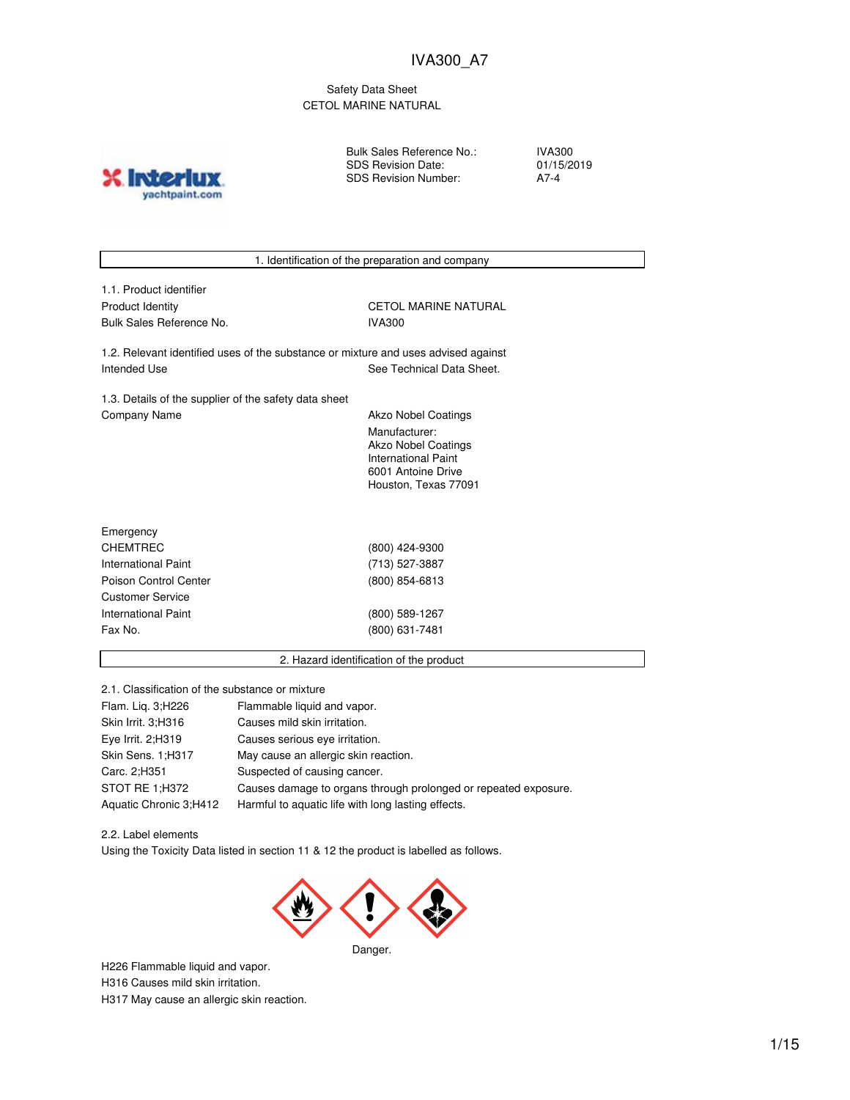Safety Data Sheet CETOL MARINE NATURAL

yachtpaint.com

Bulk Sales Reference No.: SDS Revision Date: SDS Revision Number:

IVA300 01/15/2019 A7-4



2.1. Classification of the substance or mixture

| Flam. Lig. 3;H226      | Flammable liquid and vapor.                                     |
|------------------------|-----------------------------------------------------------------|
| Skin Irrit. 3;H316     | Causes mild skin irritation.                                    |
| Eye Irrit. 2;H319      | Causes serious eye irritation.                                  |
| Skin Sens. 1:H317      | May cause an allergic skin reaction.                            |
| Carc. 2;H351           | Suspected of causing cancer.                                    |
| STOT RE 1;H372         | Causes damage to organs through prolonged or repeated exposure. |
| Aquatic Chronic 3;H412 | Harmful to aquatic life with long lasting effects.              |

2.2. Label elements Using the Toxicity Data listed in section 11 & 12 the product is labelled as follows.



H226 Flammable liquid and vapor. H316 Causes mild skin irritation. H317 May cause an allergic skin reaction.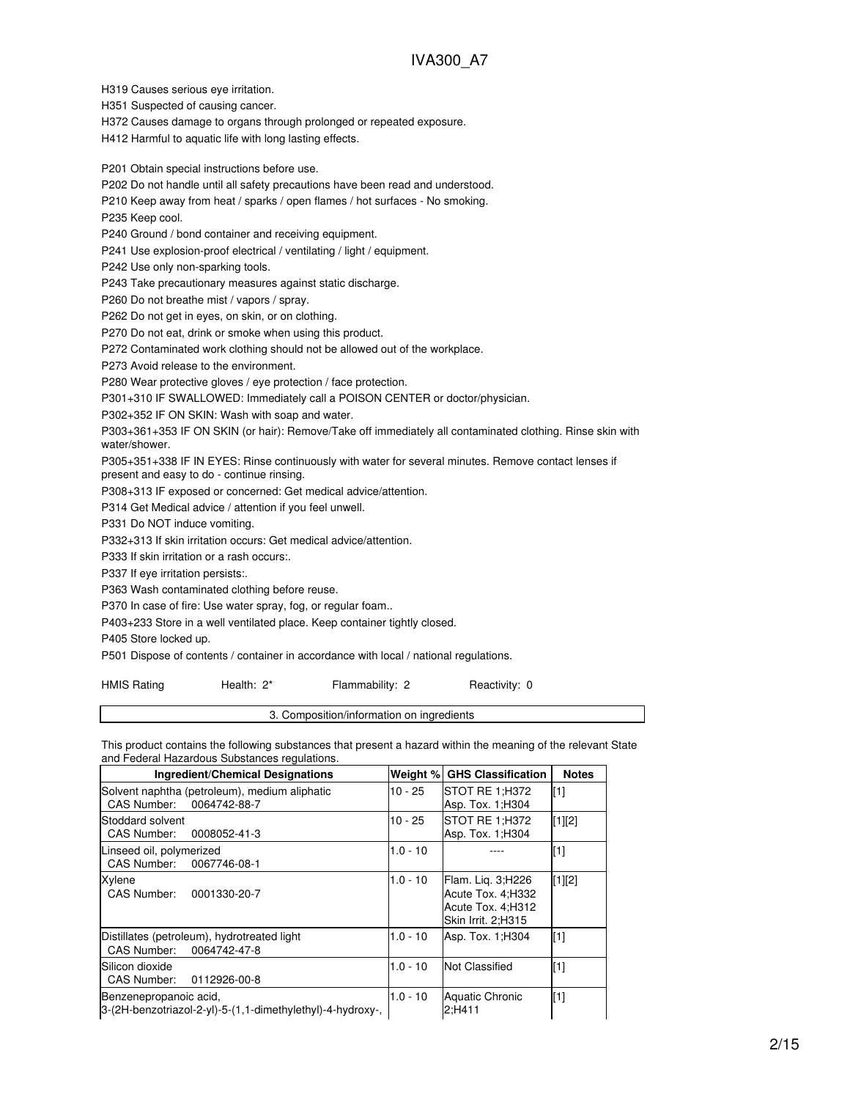H319 Causes serious eye irritation.

H351 Suspected of causing cancer.

H372 Causes damage to organs through prolonged or repeated exposure.

H412 Harmful to aquatic life with long lasting effects.

P201 Obtain special instructions before use.

P202 Do not handle until all safety precautions have been read and understood.

P210 Keep away from heat / sparks / open flames / hot surfaces - No smoking.

P235 Keep cool.

P240 Ground / bond container and receiving equipment.

P241 Use explosion-proof electrical / ventilating / light / equipment.

P242 Use only non-sparking tools.

P243 Take precautionary measures against static discharge.

P260 Do not breathe mist / vapors / spray.

P262 Do not get in eyes, on skin, or on clothing.

P270 Do not eat, drink or smoke when using this product.

P272 Contaminated work clothing should not be allowed out of the workplace.

P273 Avoid release to the environment.

P280 Wear protective gloves / eye protection / face protection.

P301+310 IF SWALLOWED: Immediately call a POISON CENTER or doctor/physician.

P302+352 IF ON SKIN: Wash with soap and water.

P303+361+353 IF ON SKIN (or hair): Remove/Take off immediately all contaminated clothing. Rinse skin with water/shower.

P305+351+338 IF IN EYES: Rinse continuously with water for several minutes. Remove contact lenses if present and easy to do - continue rinsing.

P308+313 IF exposed or concerned: Get medical advice/attention.

P314 Get Medical advice / attention if you feel unwell.

P331 Do NOT induce vomiting.

P332+313 If skin irritation occurs: Get medical advice/attention.

P333 If skin irritation or a rash occurs:.

#### P337 If eye irritation persists:.

P363 Wash contaminated clothing before reuse.

P370 In case of fire: Use water spray, fog, or regular foam..

P403+233 Store in a well ventilated place. Keep container tightly closed.

P405 Store locked up.

P501 Dispose of contents / container in accordance with local / national regulations.

| <b>HMIS Rating</b> | Health: 2* | Flammability: 2 | Reactivity: 0 |
|--------------------|------------|-----------------|---------------|
|--------------------|------------|-----------------|---------------|

3. Composition/information on ingredients

This product contains the following substances that present a hazard within the meaning of the relevant State and Federal Hazardous Substances regulations.

| <b>Ingredient/Chemical Designations</b>                                               | Weight %   | <b>GHS Classification</b>                                                           | <b>Notes</b>      |
|---------------------------------------------------------------------------------------|------------|-------------------------------------------------------------------------------------|-------------------|
| Solvent naphtha (petroleum), medium aliphatic<br>CAS Number:<br>0064742-88-7          | $10 - 25$  | STOT RE 1;H372<br>Asp. Tox. 1:H304                                                  | $\lceil 1 \rceil$ |
| Stoddard solvent<br>CAS Number: 0008052-41-3                                          | 10 - 25    | STOT RE 1:H372<br>Asp. Tox. 1; H304                                                 | $[1][2]$          |
| Linseed oil, polymerized<br>CAS Number: 0067746-08-1                                  | $1.0 - 10$ |                                                                                     | $[1]$             |
| Xylene<br>CAS Number:<br>0001330-20-7                                                 | $1.0 - 10$ | Flam. Lig. 3;H226<br>Acute Tox. 4; H332<br>Acute Tox. 4; H312<br>Skin Irrit. 2:H315 | $[1][2]$          |
| Distillates (petroleum), hydrotreated light<br>CAS Number: 0064742-47-8               | $1.0 - 10$ | Asp. Tox. 1; H304                                                                   | $[1]$             |
| lSilicon dioxide<br>CAS Number:<br>0112926-00-8                                       | $1.0 - 10$ | <b>Not Classified</b>                                                               | $[1]$             |
| Benzenepropanoic acid.<br>l3-(2H-benzotriazol-2-yl)-5-(1,1-dimethylethyl)-4-hydroxy-, | $1.0 - 10$ | Aquatic Chronic<br>2:H411                                                           | $[1]$             |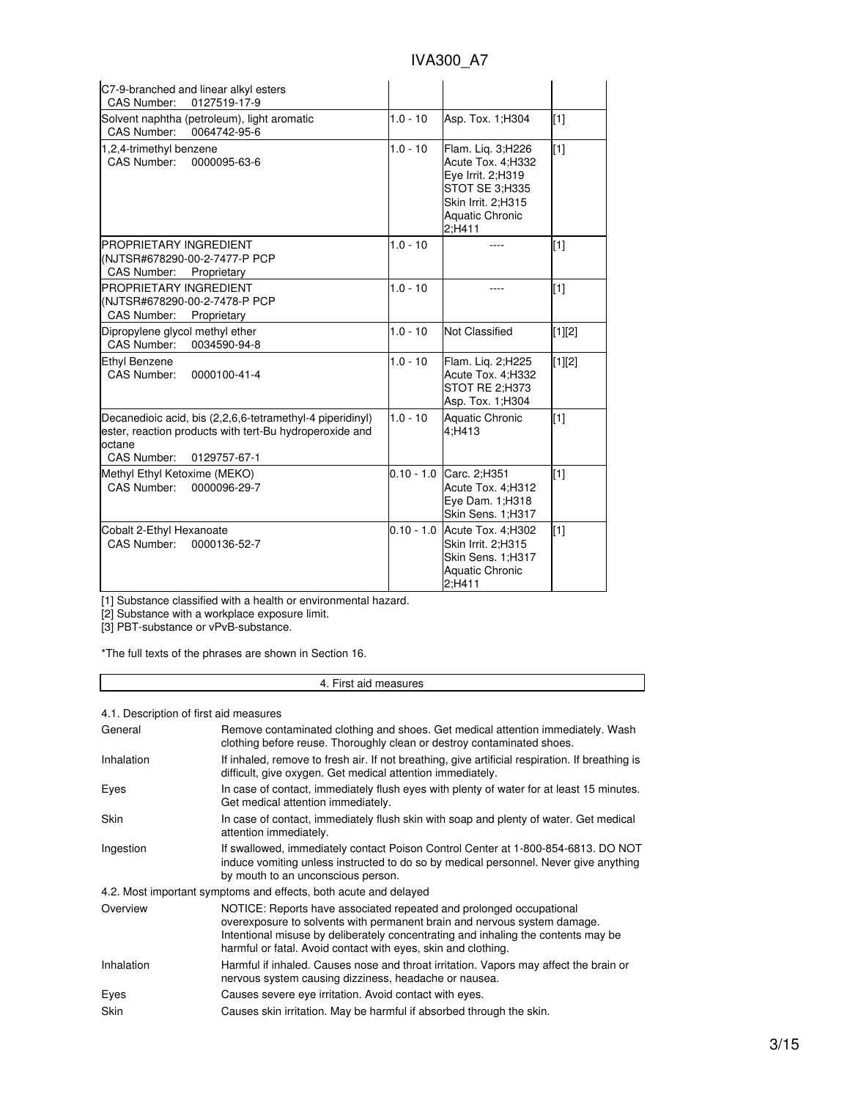| C7-9-branched and linear alkyl esters<br>CAS Number:<br>0127519-17-9                                                                                          |              |                                                                                                                                          |          |
|---------------------------------------------------------------------------------------------------------------------------------------------------------------|--------------|------------------------------------------------------------------------------------------------------------------------------------------|----------|
| Solvent naphtha (petroleum), light aromatic<br>CAS Number:<br>0064742-95-6                                                                                    | $1.0 - 10$   | Asp. Tox. 1; H304                                                                                                                        | [1]      |
| 1,2,4-trimethyl benzene<br>CAS Number:<br>0000095-63-6                                                                                                        | $1.0 - 10$   | Flam. Lig. 3;H226<br>Acute Tox. 4; H332<br>Eye Irrit. 2;H319<br>STOT SE 3:H335<br>Skin Irrit. 2:H315<br><b>Aquatic Chronic</b><br>2:H411 | [1]      |
| PROPRIETARY INGREDIENT<br>(NJTSR#678290-00-2-7477-P PCP<br>CAS Number:<br>Proprietary                                                                         | $1.0 - 10$   |                                                                                                                                          | $[1]$    |
| PROPRIETARY INGREDIENT<br>(NJTSR#678290-00-2-7478-P PCP<br>CAS Number: Proprietary                                                                            | $1.0 - 10$   |                                                                                                                                          | $[1]$    |
| Dipropylene glycol methyl ether<br>CAS Number:<br>0034590-94-8                                                                                                | $1.0 - 10$   | Not Classified                                                                                                                           | $[1][2]$ |
| Ethyl Benzene<br><b>CAS Number:</b><br>0000100-41-4                                                                                                           | $1.0 - 10$   | Flam. Lig. 2; H225<br>Acute Tox. 4; H332<br>STOT RE 2;H373<br>Asp. Tox. 1; H304                                                          | $[1][2]$ |
| Decanedioic acid, bis (2,2,6,6-tetramethyl-4 piperidinyl)<br>ester, reaction products with tert-Bu hydroperoxide and<br>octane<br>CAS Number:<br>0129757-67-1 | $1.0 - 10$   | Aquatic Chronic<br>4;H413                                                                                                                | $[1]$    |
| Methyl Ethyl Ketoxime (MEKO)<br><b>CAS Number:</b><br>0000096-29-7                                                                                            | $0.10 - 1.0$ | Carc. 2;H351<br>Acute Tox. 4; H312<br>Eye Dam. 1; H318<br>Skin Sens. 1;H317                                                              | $[1]$    |
| Cobalt 2-Ethyl Hexanoate<br><b>CAS Number:</b><br>0000136-52-7                                                                                                |              | 0.10 - 1.0 Acute Tox. 4; H302<br>Skin Irrit. 2;H315<br>Skin Sens. 1;H317<br><b>Aquatic Chronic</b><br>2:H411                             | $[1]$    |

[1] Substance classified with a health or environmental hazard.

[2] Substance with a workplace exposure limit.

[3] PBT-substance or vPvB-substance.

\*The full texts of the phrases are shown in Section 16.

## 4. First aid measures

## 4.1. Description of first aid measures

| General           | Remove contaminated clothing and shoes. Get medical attention immediately. Wash<br>clothing before reuse. Thoroughly clean or destroy contaminated shoes.                                                                                                                                             |
|-------------------|-------------------------------------------------------------------------------------------------------------------------------------------------------------------------------------------------------------------------------------------------------------------------------------------------------|
| Inhalation        | If inhaled, remove to fresh air. If not breathing, give artificial respiration. If breathing is<br>difficult, give oxygen. Get medical attention immediately.                                                                                                                                         |
| Eyes              | In case of contact, immediately flush eyes with plenty of water for at least 15 minutes.<br>Get medical attention immediately.                                                                                                                                                                        |
| <b>Skin</b>       | In case of contact, immediately flush skin with soap and plenty of water. Get medical<br>attention immediately.                                                                                                                                                                                       |
| Ingestion         | If swallowed, immediately contact Poison Control Center at 1-800-854-6813. DO NOT<br>induce vomiting unless instructed to do so by medical personnel. Never give anything<br>by mouth to an unconscious person.                                                                                       |
|                   | 4.2. Most important symptoms and effects, both acute and delayed                                                                                                                                                                                                                                      |
| Overview          | NOTICE: Reports have associated repeated and prolonged occupational<br>overexposure to solvents with permanent brain and nervous system damage.<br>Intentional misuse by deliberately concentrating and inhaling the contents may be<br>harmful or fatal. Avoid contact with eyes, skin and clothing. |
| <b>Inhalation</b> | Harmful if inhaled. Causes nose and throat irritation. Vapors may affect the brain or<br>nervous system causing dizziness, headache or nausea.                                                                                                                                                        |
| Eyes              | Causes severe eye irritation. Avoid contact with eyes.                                                                                                                                                                                                                                                |
| Skin              | Causes skin irritation. May be harmful if absorbed through the skin.                                                                                                                                                                                                                                  |
|                   |                                                                                                                                                                                                                                                                                                       |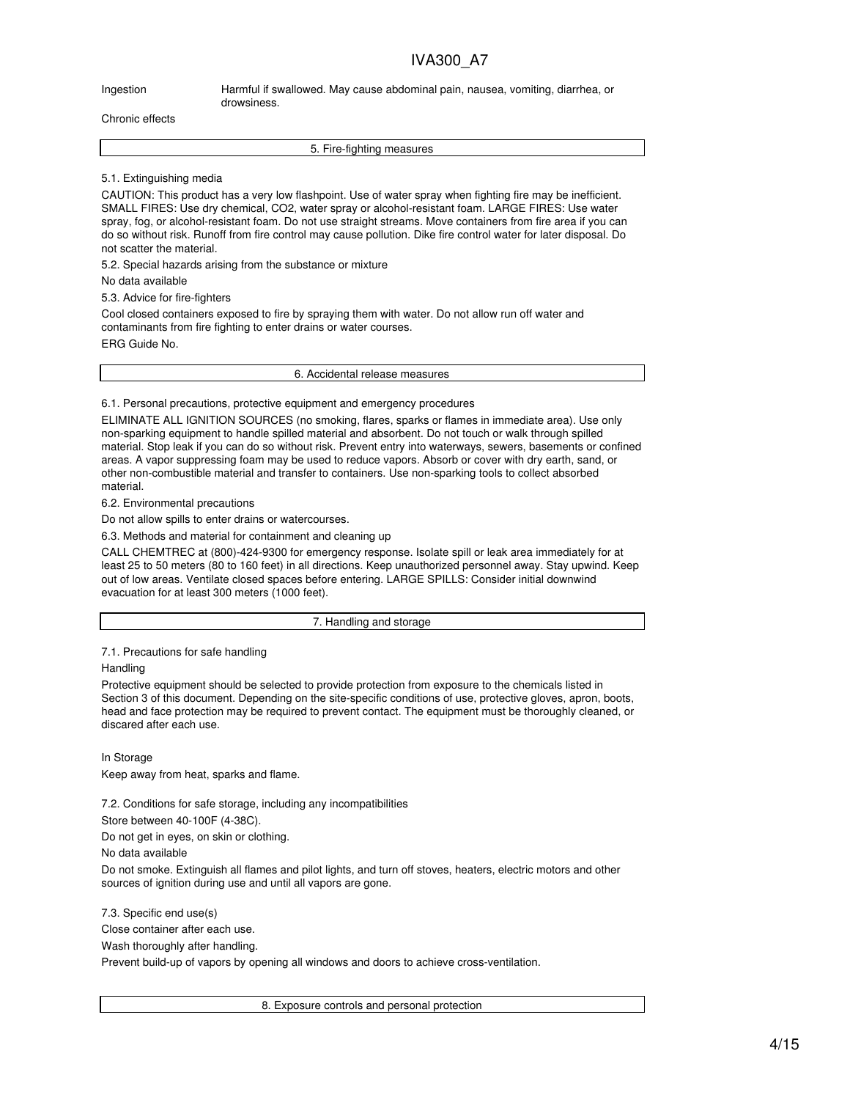Ingestion Harmful if swallowed. May cause abdominal pain, nausea, vomiting, diarrhea, or drowsiness.

#### Chronic effects

5. Fire-fighting measures

#### 5.1. Extinguishing media

CAUTION: This product has a very low flashpoint. Use of water spray when fighting fire may be inefficient. SMALL FIRES: Use dry chemical, CO2, water spray or alcohol-resistant foam. LARGE FIRES: Use water spray, fog, or alcohol-resistant foam. Do not use straight streams. Move containers from fire area if you can do so without risk. Runoff from fire control may cause pollution. Dike fire control water for later disposal. Do not scatter the material.

5.2. Special hazards arising from the substance or mixture

No data available

5.3. Advice for fire-fighters

Cool closed containers exposed to fire by spraying them with water. Do not allow run off water and contaminants from fire fighting to enter drains or water courses.

ERG Guide No.

6. Accidental release measures

#### 6.1. Personal precautions, protective equipment and emergency procedures

ELIMINATE ALL IGNITION SOURCES (no smoking, flares, sparks or flames in immediate area). Use only non-sparking equipment to handle spilled material and absorbent. Do not touch or walk through spilled material. Stop leak if you can do so without risk. Prevent entry into waterways, sewers, basements or confined areas. A vapor suppressing foam may be used to reduce vapors. Absorb or cover with dry earth, sand, or other non-combustible material and transfer to containers. Use non-sparking tools to collect absorbed material.

6.2. Environmental precautions

Do not allow spills to enter drains or watercourses.

6.3. Methods and material for containment and cleaning up

CALL CHEMTREC at (800)-424-9300 for emergency response. Isolate spill or leak area immediately for at least 25 to 50 meters (80 to 160 feet) in all directions. Keep unauthorized personnel away. Stay upwind. Keep out of low areas. Ventilate closed spaces before entering. LARGE SPILLS: Consider initial downwind evacuation for at least 300 meters (1000 feet).

7. Handling and storage

7.1. Precautions for safe handling

#### Handling

Protective equipment should be selected to provide protection from exposure to the chemicals listed in Section 3 of this document. Depending on the site-specific conditions of use, protective gloves, apron, boots, head and face protection may be required to prevent contact. The equipment must be thoroughly cleaned, or discared after each use.

In Storage

Keep away from heat, sparks and flame.

7.2. Conditions for safe storage, including any incompatibilities

Store between 40-100F (4-38C).

Do not get in eyes, on skin or clothing.

No data available

Do not smoke. Extinguish all flames and pilot lights, and turn off stoves, heaters, electric motors and other sources of ignition during use and until all vapors are gone.

7.3. Specific end use(s)

Close container after each use.

Wash thoroughly after handling.

Prevent build-up of vapors by opening all windows and doors to achieve cross-ventilation.

8. Exposure controls and personal protection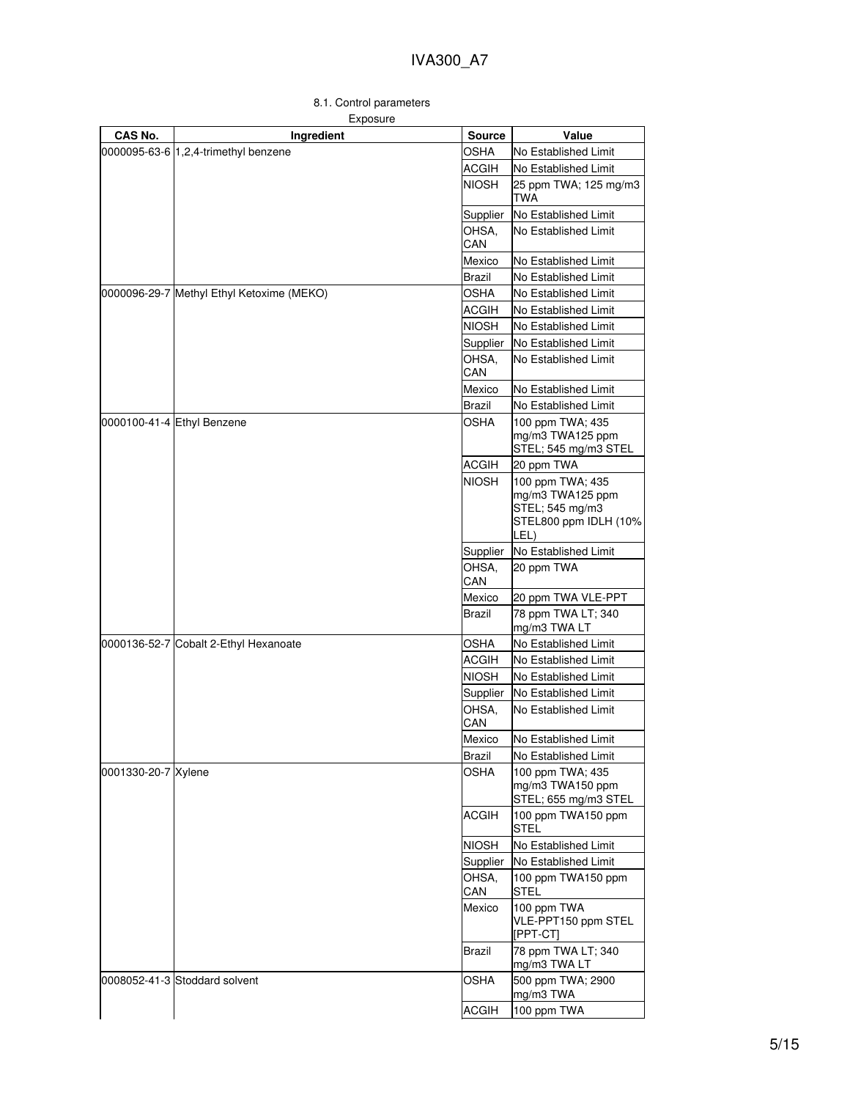## 8.1. Control parameters

| Exposure |
|----------|
|          |

| CAS No.             | Ingredient                                | <b>Source</b> | Value                                                                                    |
|---------------------|-------------------------------------------|---------------|------------------------------------------------------------------------------------------|
|                     | 0000095-63-6 1,2,4-trimethyl benzene      | OSHA          | No Established Limit                                                                     |
|                     |                                           | <b>ACGIH</b>  | No Established Limit                                                                     |
|                     |                                           | <b>NIOSH</b>  | 25 ppm TWA; 125 mg/m3<br>TWA                                                             |
|                     |                                           | Supplier      | No Established Limit                                                                     |
|                     |                                           | OHSA.<br>CAN  | No Established Limit                                                                     |
|                     |                                           | Mexico        | No Established Limit                                                                     |
|                     |                                           | Brazil        | No Established Limit                                                                     |
|                     | 0000096-29-7 Methyl Ethyl Ketoxime (MEKO) | <b>OSHA</b>   | No Established Limit                                                                     |
|                     |                                           | <b>ACGIH</b>  | No Established Limit                                                                     |
|                     |                                           | NIOSH         | No Established Limit                                                                     |
|                     |                                           | Supplier      | No Established Limit                                                                     |
|                     |                                           | OHSA,<br>CAN  | No Established Limit                                                                     |
|                     |                                           | Mexico        | No Established Limit                                                                     |
|                     |                                           | Brazil        | No Established Limit                                                                     |
|                     | 0000100-41-4 Ethyl Benzene                | OSHA          | 100 ppm TWA; 435<br>mg/m3 TWA125 ppm<br>STEL; 545 mg/m3 STEL                             |
|                     |                                           | <b>ACGIH</b>  | 20 ppm TWA                                                                               |
|                     |                                           | <b>NIOSH</b>  | 100 ppm TWA; 435<br>mg/m3 TWA125 ppm<br>STEL; 545 mg/m3<br>STEL800 ppm IDLH (10%<br>LEL) |
|                     |                                           | Supplier      | No Established Limit                                                                     |
|                     |                                           | OHSA,<br>CAN  | 20 ppm TWA                                                                               |
|                     |                                           | Mexico        | 20 ppm TWA VLE-PPT                                                                       |
|                     |                                           | Brazil        | 78 ppm TWA LT; 340<br>mg/m3 TWA LT                                                       |
|                     | 0000136-52-7 Cobalt 2-Ethyl Hexanoate     | OSHA          | No Established Limit                                                                     |
|                     |                                           | <b>ACGIH</b>  | No Established Limit                                                                     |
|                     |                                           | <b>NIOSH</b>  | No Established Limit                                                                     |
|                     |                                           | Supplier      | No Established Limit                                                                     |
|                     |                                           | OHSA,<br>CAN  | No Established Limit                                                                     |
|                     |                                           | Mexico        | No Established Limit                                                                     |
|                     |                                           | Brazil        | No Established Limit                                                                     |
| 0001330-20-7 Xylene |                                           | OSHA          | 100 ppm TWA; 435<br>mg/m3 TWA150 ppm<br>STEL; 655 mg/m3 STEL                             |
|                     |                                           | <b>ACGIH</b>  | 100 ppm TWA150 ppm<br><b>STEL</b>                                                        |
|                     |                                           | <b>NIOSH</b>  | No Established Limit                                                                     |
|                     |                                           | Supplier      | No Established Limit                                                                     |
|                     |                                           | OHSA,<br>CAN  | 100 ppm TWA150 ppm<br>STEL                                                               |
|                     |                                           | Mexico        | 100 ppm TWA<br>VLE-PPT150 ppm STEL<br>[PPT-CT]                                           |
|                     |                                           | Brazil        | 78 ppm TWA LT; 340<br>mg/m3 TWA LT                                                       |
|                     | 0008052-41-3 Stoddard solvent             | OSHA          | 500 ppm TWA; 2900<br>mg/m3 TWA                                                           |
|                     |                                           | <b>ACGIH</b>  | 100 ppm TWA                                                                              |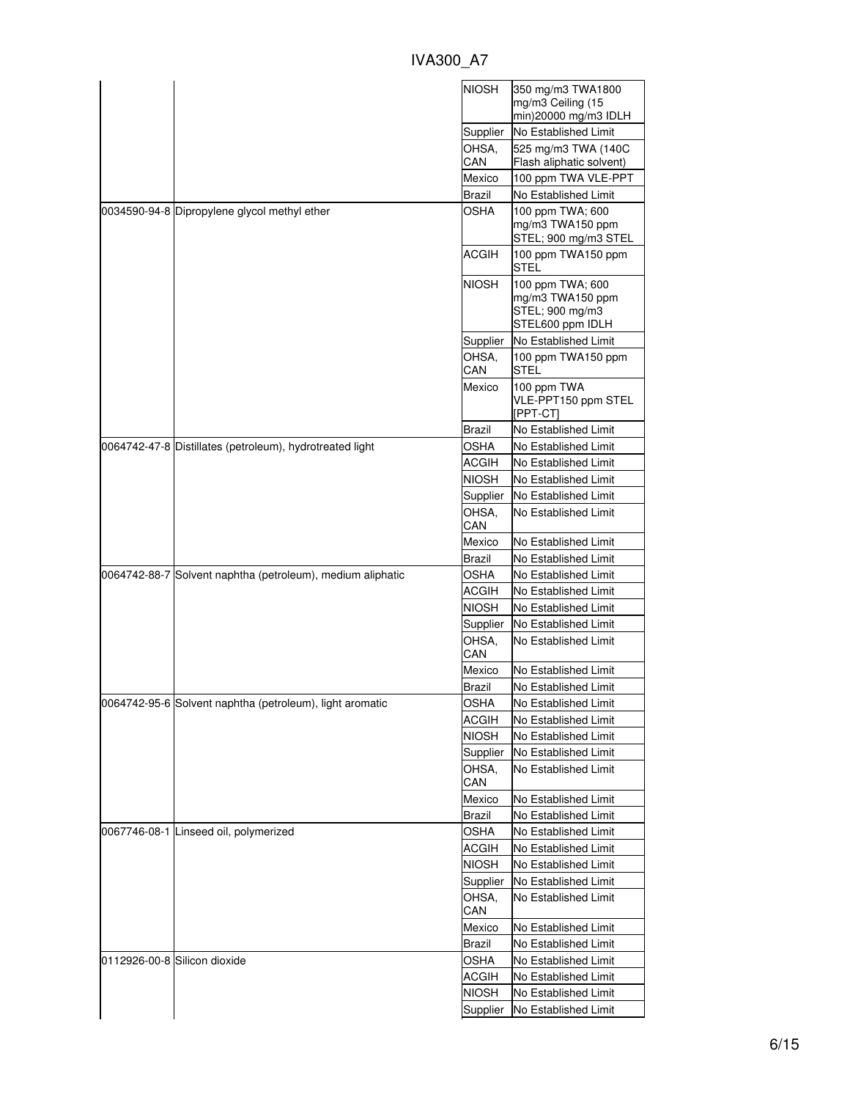| <b>IVA300 A7</b> |  |
|------------------|--|
|                  |  |

|                                                            | <b>NIOSH</b>      | 350 mg/m3 TWA1800<br>mg/m3 Ceiling (15                                      |
|------------------------------------------------------------|-------------------|-----------------------------------------------------------------------------|
|                                                            |                   | min)20000 mg/m3 IDLH                                                        |
|                                                            | Supplier          | No Established Limit                                                        |
|                                                            | OHSA,<br>CAN      | 525 mg/m3 TWA (140C<br>Flash aliphatic solvent)                             |
|                                                            | Mexico            | 100 ppm TWA VLE-PPT                                                         |
|                                                            | Brazil            | No Established Limit                                                        |
| 0034590-94-8 Dipropylene glycol methyl ether               | <b>OSHA</b>       | 100 ppm TWA; 600<br>mg/m3 TWA150 ppm<br>STEL; 900 mg/m3 STEL                |
|                                                            | <b>ACGIH</b>      | 100 ppm TWA150 ppm<br><b>STEL</b>                                           |
|                                                            | <b>NIOSH</b>      | 100 ppm TWA; 600<br>mg/m3 TWA150 ppm<br>STEL; 900 mg/m3<br>STEL600 ppm IDLH |
|                                                            | Supplier          | No Established Limit                                                        |
|                                                            | OHSA,<br>CAN      | 100 ppm TWA150 ppm<br>STEL                                                  |
|                                                            | Mexico            | 100 ppm TWA<br>VLE-PPT150 ppm STEL<br>[PPT-CT]                              |
|                                                            | Brazil            | No Established Limit                                                        |
| 0064742-47-8 Distillates (petroleum), hydrotreated light   | OSHA              | No Established Limit                                                        |
|                                                            | ACGIH             | No Established Limit                                                        |
|                                                            | NIOSH             | No Established Limit                                                        |
|                                                            | Supplier          | No Established Limit                                                        |
|                                                            | OHSA.<br>CAN      | No Established Limit                                                        |
|                                                            | Mexico            | No Established Limit                                                        |
|                                                            | Brazil            | No Established Limit                                                        |
| 0064742-88-7 Solvent naphtha (petroleum), medium aliphatic | OSHA              | No Established Limit                                                        |
|                                                            | ACGIH             | No Established Limit                                                        |
|                                                            | <b>NIOSH</b>      | No Established Limit                                                        |
|                                                            | Supplier          | No Established Limit                                                        |
|                                                            | OHSA,<br>CAN      | No Established Limit                                                        |
|                                                            | Mexico            | No Established Limit                                                        |
|                                                            | Brazil            | No Established Limit                                                        |
| 0064742-95-6  Solvent naphtha (petroleum), light aromatic  | OSHA              | No Established Limit                                                        |
|                                                            | <b>ACGIH</b>      | No Established Limit                                                        |
|                                                            | <b>NIOSH</b>      | No Established Limit                                                        |
|                                                            | Supplier          | No Established Limit                                                        |
|                                                            | OHSA,<br>CAN      | No Established Limit                                                        |
|                                                            | Mexico            | No Established Limit                                                        |
|                                                            | <b>Brazil</b>     | No Established Limit                                                        |
| 0067746-08-1 Linseed oil, polymerized                      | <b>OSHA</b>       | No Established Limit                                                        |
|                                                            | <b>ACGIH</b>      | No Established Limit                                                        |
|                                                            | <b>NIOSH</b>      | No Established Limit                                                        |
|                                                            |                   |                                                                             |
|                                                            |                   |                                                                             |
|                                                            | Supplier<br>OHSA. | No Established Limit<br>No Established Limit                                |
|                                                            | CAN               |                                                                             |
|                                                            | Mexico            | No Established Limit                                                        |
|                                                            | Brazil            | No Established Limit                                                        |
| 0112926-00-8 Silicon dioxide                               | OSHA              | No Established Limit                                                        |
|                                                            | <b>ACGIH</b>      | No Established Limit                                                        |
|                                                            | <b>NIOSH</b>      | No Established Limit                                                        |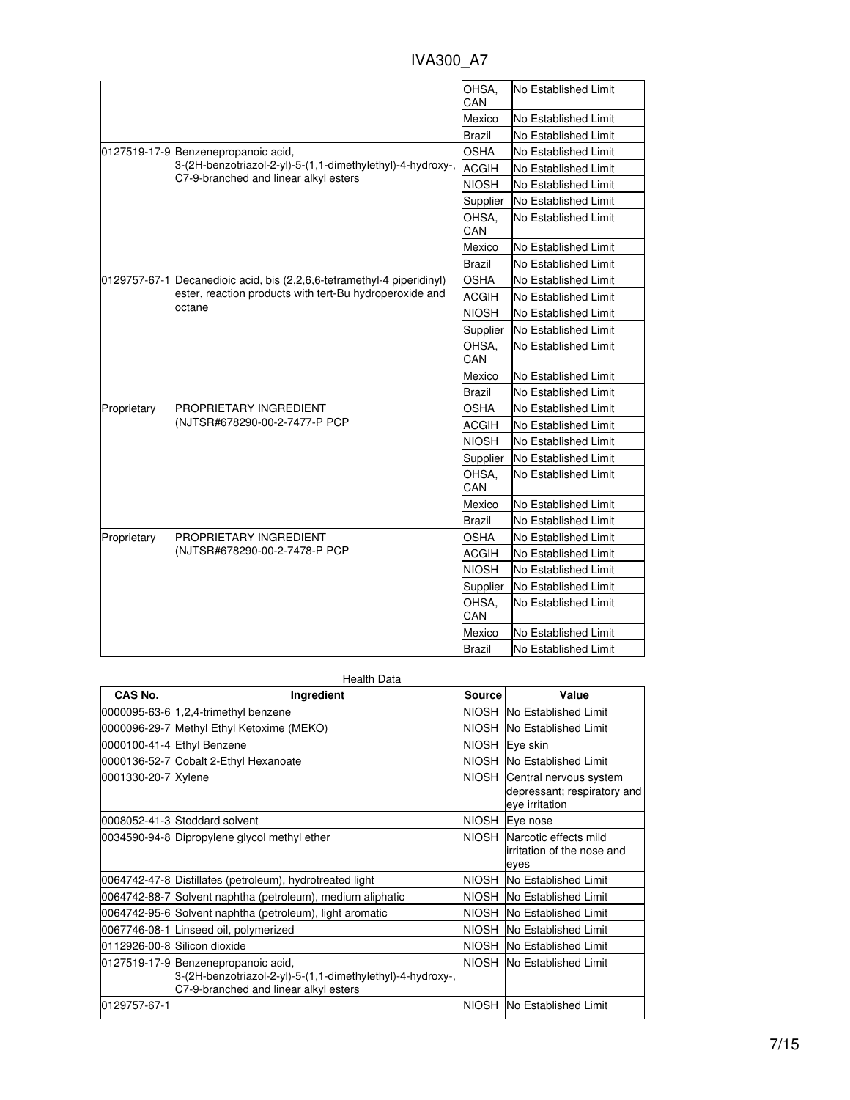|             |                                                                        | OHSA.<br>CAN  | No Established Limit        |
|-------------|------------------------------------------------------------------------|---------------|-----------------------------|
|             |                                                                        | Mexico        | No Established Limit        |
|             |                                                                        | <b>Brazil</b> | No Established Limit        |
|             | 0127519-17-9 Benzenepropanoic acid,                                    | <b>OSHA</b>   | No Established Limit        |
|             | 3-(2H-benzotriazol-2-yl)-5-(1,1-dimethylethyl)-4-hydroxy-,             | <b>ACGIH</b>  | No Established Limit        |
|             | C7-9-branched and linear alkyl esters                                  | <b>NIOSH</b>  | No Established Limit        |
|             |                                                                        | Supplier      | <b>No Established Limit</b> |
|             |                                                                        | OHSA,<br>CAN  | No Established Limit        |
|             |                                                                        | Mexico        | No Established Limit        |
|             |                                                                        | <b>Brazil</b> | No Established Limit        |
|             | 0129757-67-1 Decanedioic acid, bis (2,2,6,6-tetramethyl-4 piperidinyl) | <b>OSHA</b>   | No Established Limit        |
|             | ester, reaction products with tert-Bu hydroperoxide and                | <b>ACGIH</b>  | No Established Limit        |
|             | octane                                                                 | <b>NIOSH</b>  | No Established Limit        |
|             |                                                                        | Supplier      | No Established Limit        |
|             |                                                                        | OHSA.<br>CAN  | No Established Limit        |
|             |                                                                        | Mexico        | No Established Limit        |
|             |                                                                        | Brazil        | No Established Limit        |
| Proprietary | PROPRIETARY INGREDIENT<br>(NJTSR#678290-00-2-7477-P PCP                | OSHA          | No Established Limit        |
|             |                                                                        | <b>ACGIH</b>  | No Established Limit        |
|             |                                                                        | <b>NIOSH</b>  | No Established Limit        |
|             |                                                                        | Supplier      | No Established Limit        |
|             |                                                                        | OHSA,<br>CAN  | No Established Limit        |
|             |                                                                        | Mexico        | No Established Limit        |
|             |                                                                        | <b>Brazil</b> | No Established Limit        |
| Proprietary | <b>PROPRIETARY INGREDIENT</b>                                          | <b>OSHA</b>   | No Established Limit        |
|             | (NJTSR#678290-00-2-7478-P PCP                                          | <b>ACGIH</b>  | No Established Limit        |
|             |                                                                        | <b>NIOSH</b>  | No Established Limit        |
|             |                                                                        | Supplier      | No Established Limit        |
|             |                                                                        | OHSA,<br>CAN  | No Established Limit        |
|             |                                                                        | Mexico        | No Established Limit        |
|             |                                                                        | Brazil        | No Established Limit        |

| <b>Health Data</b>  |                                                                                                                                            |               |                                                                         |  |
|---------------------|--------------------------------------------------------------------------------------------------------------------------------------------|---------------|-------------------------------------------------------------------------|--|
| CAS No.             | Ingredient                                                                                                                                 | <b>Source</b> | Value                                                                   |  |
|                     | 0000095-63-6 1,2,4-trimethyl benzene                                                                                                       | <b>NIOSH</b>  | No Established Limit                                                    |  |
|                     | 0000096-29-7 Methyl Ethyl Ketoxime (MEKO)                                                                                                  | <b>NIOSH</b>  | No Established Limit                                                    |  |
|                     | 0000100-41-4 Ethyl Benzene                                                                                                                 |               | NIOSH Eye skin                                                          |  |
|                     | 0000136-52-7 Cobalt 2-Ethyl Hexanoate                                                                                                      | <b>NIOSH</b>  | No Established Limit                                                    |  |
| 0001330-20-7 Xylene |                                                                                                                                            | <b>NIOSH</b>  | Central nervous system<br>depressant; respiratory and<br>eye irritation |  |
|                     | 0008052-41-3 Stoddard solvent                                                                                                              |               | NIOSH Eye nose                                                          |  |
|                     | 0034590-94-8 Dipropylene glycol methyl ether                                                                                               | NIOSH         | Narcotic effects mild<br>lirritation of the nose and<br>eyes            |  |
|                     | 0064742-47-8 Distillates (petroleum), hydrotreated light                                                                                   | <b>NIOSH</b>  | No Established Limit                                                    |  |
|                     | 0064742-88-7 Solvent naphtha (petroleum), medium aliphatic                                                                                 | <b>NIOSH</b>  | No Established Limit                                                    |  |
|                     | 0064742-95-6 Solvent naphtha (petroleum), light aromatic                                                                                   | NIOSH         | No Established Limit                                                    |  |
|                     | 0067746-08-1 Linseed oil, polymerized                                                                                                      | <b>NIOSH</b>  | No Established Limit                                                    |  |
|                     | 0112926-00-8 Silicon dioxide                                                                                                               | <b>NIOSH</b>  | No Established Limit                                                    |  |
|                     | 0127519-17-9 Benzenepropanoic acid,<br>3-(2H-benzotriazol-2-yl)-5-(1,1-dimethylethyl)-4-hydroxy-,<br>C7-9-branched and linear alkyl esters | NIOSH         | No Established Limit                                                    |  |
| 0129757-67-1        |                                                                                                                                            | <b>NIOSH</b>  | No Established Limit                                                    |  |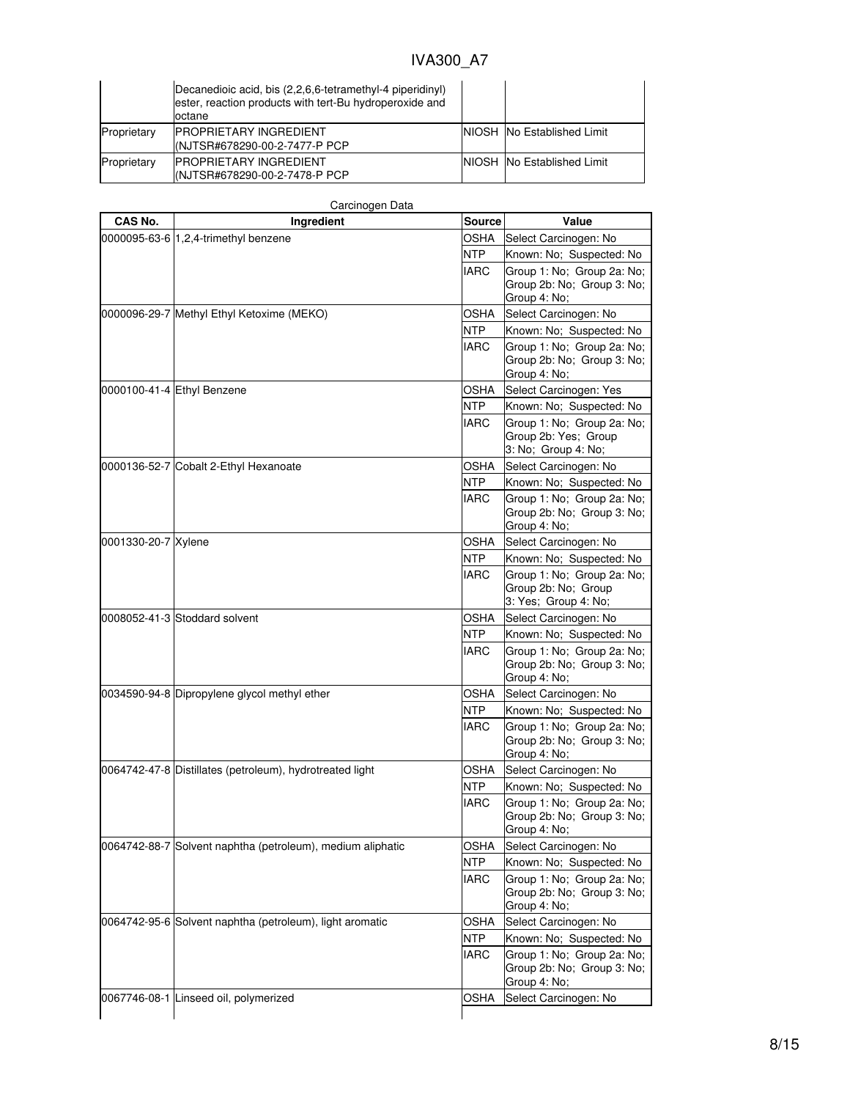|             | Decanedioic acid, bis (2,2,6,6-tetramethyl-4 piperidinyl)<br>ester, reaction products with tert-Bu hydroperoxide and<br>octane |                                    |
|-------------|--------------------------------------------------------------------------------------------------------------------------------|------------------------------------|
| Proprietary | <b>IPROPRIETARY INGREDIENT</b><br>(NJTSR#678290-00-2-7477-P PCP                                                                | <b>NIOSH INO Established Limit</b> |
| Proprietary | <b>IPROPRIETARY INGREDIENT</b><br>I(NJTSR#678290-00-2-7478-P PCP                                                               | NIOSH No Established Limit         |

| CAS No.             | Ingredient                                                 | Source      | Value                                                                     |
|---------------------|------------------------------------------------------------|-------------|---------------------------------------------------------------------------|
|                     | 0000095-63-6 1,2,4-trimethyl benzene                       |             | Select Carcinogen: No                                                     |
|                     |                                                            | NTP         | Known: No; Suspected: No                                                  |
|                     |                                                            | IARC        | Group 1: No; Group 2a: No;                                                |
|                     |                                                            |             | Group 2b: No; Group 3: No;                                                |
|                     |                                                            |             | Group 4: No;                                                              |
|                     | 0000096-29-7 Methyl Ethyl Ketoxime (MEKO)                  | <b>OSHA</b> | Select Carcinogen: No                                                     |
|                     |                                                            | <b>NTP</b>  | Known: No; Suspected: No                                                  |
|                     |                                                            | <b>IARC</b> | Group 1: No; Group 2a: No;<br>Group 2b: No; Group 3: No;<br>Group 4: No;  |
|                     | 0000100-41-4 Ethyl Benzene                                 | <b>OSHA</b> | Select Carcinogen: Yes                                                    |
|                     |                                                            | <b>NTP</b>  | Known: No; Suspected: No                                                  |
|                     |                                                            | <b>IARC</b> | Group 1: No; Group 2a: No;<br>Group 2b: Yes; Group<br>3: No; Group 4: No; |
|                     | 0000136-52-7 Cobalt 2-Ethyl Hexanoate                      | <b>OSHA</b> | Select Carcinogen: No                                                     |
|                     |                                                            | <b>NTP</b>  | Known: No; Suspected: No                                                  |
|                     |                                                            | <b>IARC</b> | Group 1: No; Group 2a: No;<br>Group 2b: No; Group 3: No;<br>Group 4: No;  |
| 0001330-20-7 Xylene |                                                            | OSHA        | Select Carcinogen: No                                                     |
|                     |                                                            | <b>NTP</b>  | Known: No; Suspected: No                                                  |
|                     |                                                            | <b>IARC</b> | Group 1: No; Group 2a: No;<br>Group 2b: No; Group<br>3: Yes; Group 4: No; |
|                     | 0008052-41-3 Stoddard solvent                              | OSHA        | Select Carcinogen: No                                                     |
|                     |                                                            | <b>NTP</b>  | Known: No; Suspected: No                                                  |
|                     |                                                            | <b>IARC</b> | Group 1: No; Group 2a: No;<br>Group 2b: No; Group 3: No;<br>Group 4: No;  |
|                     | 0034590-94-8 Dipropylene glycol methyl ether               | OSHA        | Select Carcinogen: No                                                     |
|                     |                                                            | <b>NTP</b>  | Known: No; Suspected: No                                                  |
|                     |                                                            | <b>IARC</b> | Group 1: No; Group 2a: No;<br>Group 2b: No; Group 3: No;<br>Group 4: No;  |
|                     | 0064742-47-8 Distillates (petroleum), hydrotreated light   | OSHA        | Select Carcinogen: No                                                     |
|                     |                                                            | <b>NTP</b>  | Known: No; Suspected: No                                                  |
|                     |                                                            | <b>IARC</b> | Group 1: No; Group 2a: No;<br>Group 2b: No; Group 3: No;<br>Group 4: No;  |
|                     | 0064742-88-7 Solvent naphtha (petroleum), medium aliphatic | OSHA        | Select Carcinogen: No                                                     |
|                     |                                                            | <b>NTP</b>  | Known: No; Suspected: No                                                  |
|                     |                                                            | IARC        | Group 1: No; Group 2a: No;<br>Group 2b: No; Group 3: No;<br>Group 4: No;  |
|                     | 0064742-95-6 Solvent naphtha (petroleum), light aromatic   | OSHA        | Select Carcinogen: No                                                     |
|                     |                                                            | NTP         | Known: No; Suspected: No                                                  |
|                     |                                                            | <b>IARC</b> | Group 1: No; Group 2a: No;<br>Group 2b: No; Group 3: No;<br>Group 4: No;  |
|                     | 0067746-08-1 Linseed oil, polymerized                      | <b>OSHA</b> | Select Carcinogen: No                                                     |
|                     |                                                            |             |                                                                           |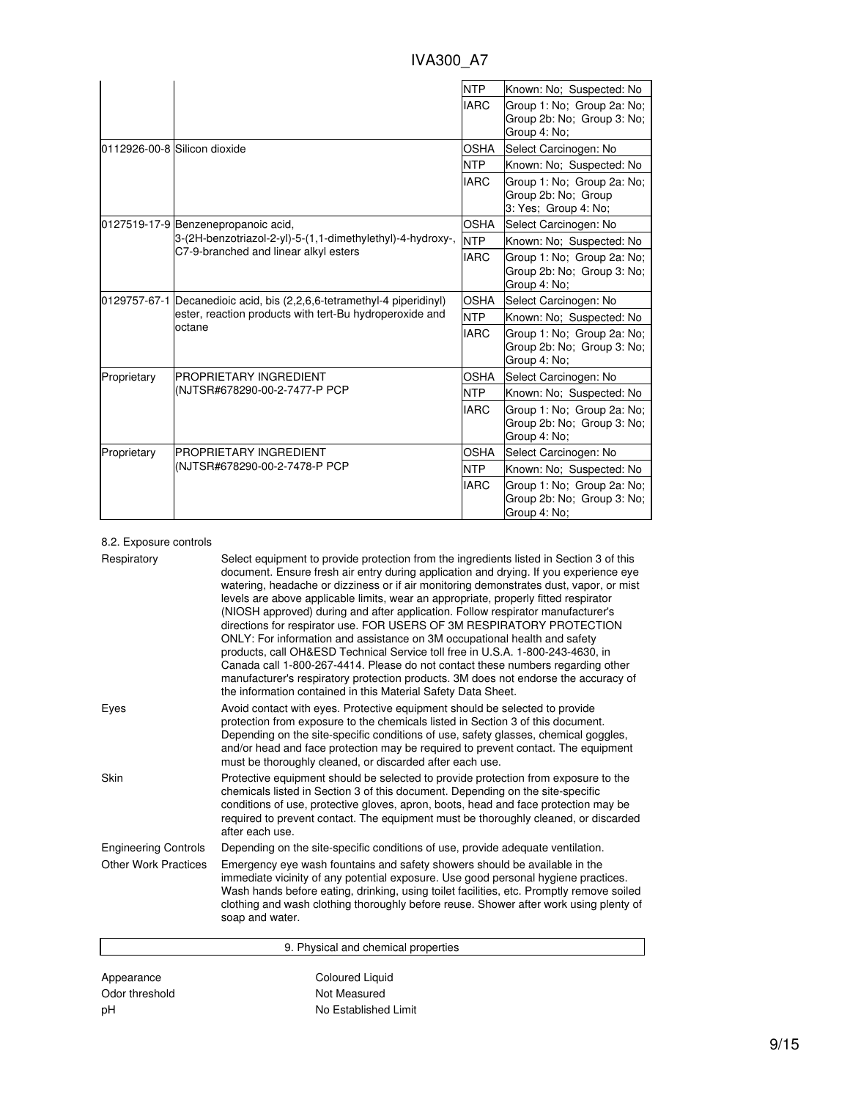| IVA300 A7 |  |
|-----------|--|
|           |  |

|             |                                                                        | <b>NTP</b>  | Known: No: Suspected: No                                                  |
|-------------|------------------------------------------------------------------------|-------------|---------------------------------------------------------------------------|
|             |                                                                        | <b>IARC</b> | Group 1: No; Group 2a: No;<br>Group 2b: No: Group 3: No:<br>Group 4: No;  |
|             | 0112926-00-8 Silicon dioxide                                           | <b>OSHA</b> | Select Carcinogen: No                                                     |
|             |                                                                        | <b>NTP</b>  | Known: No; Suspected: No                                                  |
|             |                                                                        | <b>IARC</b> | Group 1: No; Group 2a: No;<br>Group 2b: No; Group<br>3: Yes: Group 4: No: |
|             | 0127519-17-9 Benzenepropanoic acid,                                    | <b>OSHA</b> | Select Carcinogen: No                                                     |
|             | 3-(2H-benzotriazol-2-yl)-5-(1,1-dimethylethyl)-4-hydroxy-,             | <b>NTP</b>  | Known: No; Suspected: No                                                  |
|             | C7-9-branched and linear alkyl esters                                  | <b>IARC</b> | Group 1: No: Group 2a: No:<br>Group 2b: No; Group 3: No;<br>Group 4: No;  |
|             | 0129757-67-1 Decanedioic acid, bis (2,2,6,6-tetramethyl-4 piperidinyl) | <b>OSHA</b> | Select Carcinogen: No                                                     |
|             | ester, reaction products with tert-Bu hydroperoxide and<br>octane      | <b>NTP</b>  | Known: No: Suspected: No                                                  |
|             |                                                                        |             | Group 1: No; Group 2a: No;<br>Group 2b: No: Group 3: No:<br>Group 4: No:  |
| Proprietary | <b>PROPRIETARY INGREDIENT</b>                                          | <b>OSHA</b> | Select Carcinogen: No                                                     |
|             | (NJTSR#678290-00-2-7477-P PCP                                          | <b>NTP</b>  | Known: No; Suspected: No                                                  |
|             |                                                                        | <b>IARC</b> | Group 1: No; Group 2a: No;<br>Group 2b: No: Group 3: No:<br>Group 4: No;  |
| Proprietary | <b>PROPRIETARY INGREDIENT</b>                                          | <b>OSHA</b> | Select Carcinogen: No                                                     |
|             | (NJTSR#678290-00-2-7478-P PCP                                          | <b>NTP</b>  | Known: No; Suspected: No                                                  |
|             |                                                                        | <b>IARC</b> | Group 1: No; Group 2a: No;<br>Group 2b: No: Group 3: No:<br>Group 4: No;  |

### 8.2. Exposure controls

| Respiratory                 | Select equipment to provide protection from the ingredients listed in Section 3 of this<br>document. Ensure fresh air entry during application and drying. If you experience eye<br>watering, headache or dizziness or if air monitoring demonstrates dust, vapor, or mist<br>levels are above applicable limits, wear an appropriate, properly fitted respirator<br>(NIOSH approved) during and after application. Follow respirator manufacturer's<br>directions for respirator use. FOR USERS OF 3M RESPIRATORY PROTECTION<br>ONLY: For information and assistance on 3M occupational health and safety<br>products, call OH&ESD Technical Service toll free in U.S.A. 1-800-243-4630, in<br>Canada call 1-800-267-4414. Please do not contact these numbers regarding other<br>manufacturer's respiratory protection products. 3M does not endorse the accuracy of<br>the information contained in this Material Safety Data Sheet. |
|-----------------------------|-----------------------------------------------------------------------------------------------------------------------------------------------------------------------------------------------------------------------------------------------------------------------------------------------------------------------------------------------------------------------------------------------------------------------------------------------------------------------------------------------------------------------------------------------------------------------------------------------------------------------------------------------------------------------------------------------------------------------------------------------------------------------------------------------------------------------------------------------------------------------------------------------------------------------------------------|
| Eyes                        | Avoid contact with eyes. Protective equipment should be selected to provide<br>protection from exposure to the chemicals listed in Section 3 of this document.<br>Depending on the site-specific conditions of use, safety glasses, chemical goggles,<br>and/or head and face protection may be required to prevent contact. The equipment<br>must be thoroughly cleaned, or discarded after each use.                                                                                                                                                                                                                                                                                                                                                                                                                                                                                                                                  |
| Skin                        | Protective equipment should be selected to provide protection from exposure to the<br>chemicals listed in Section 3 of this document. Depending on the site-specific<br>conditions of use, protective gloves, apron, boots, head and face protection may be<br>required to prevent contact. The equipment must be thoroughly cleaned, or discarded<br>after each use.                                                                                                                                                                                                                                                                                                                                                                                                                                                                                                                                                                   |
| <b>Engineering Controls</b> | Depending on the site-specific conditions of use, provide adequate ventilation.                                                                                                                                                                                                                                                                                                                                                                                                                                                                                                                                                                                                                                                                                                                                                                                                                                                         |
| <b>Other Work Practices</b> | Emergency eye wash fountains and safety showers should be available in the<br>immediate vicinity of any potential exposure. Use good personal hygiene practices.<br>Wash hands before eating, drinking, using toilet facilities, etc. Promptly remove soiled<br>clothing and wash clothing thoroughly before reuse. Shower after work using plenty of<br>soap and water.                                                                                                                                                                                                                                                                                                                                                                                                                                                                                                                                                                |
|                             | 9. Physical and chemical properties                                                                                                                                                                                                                                                                                                                                                                                                                                                                                                                                                                                                                                                                                                                                                                                                                                                                                                     |
| Appearance                  | <b>Coloured Liquid</b>                                                                                                                                                                                                                                                                                                                                                                                                                                                                                                                                                                                                                                                                                                                                                                                                                                                                                                                  |

Odor threshold Not Measured pH No Established Limit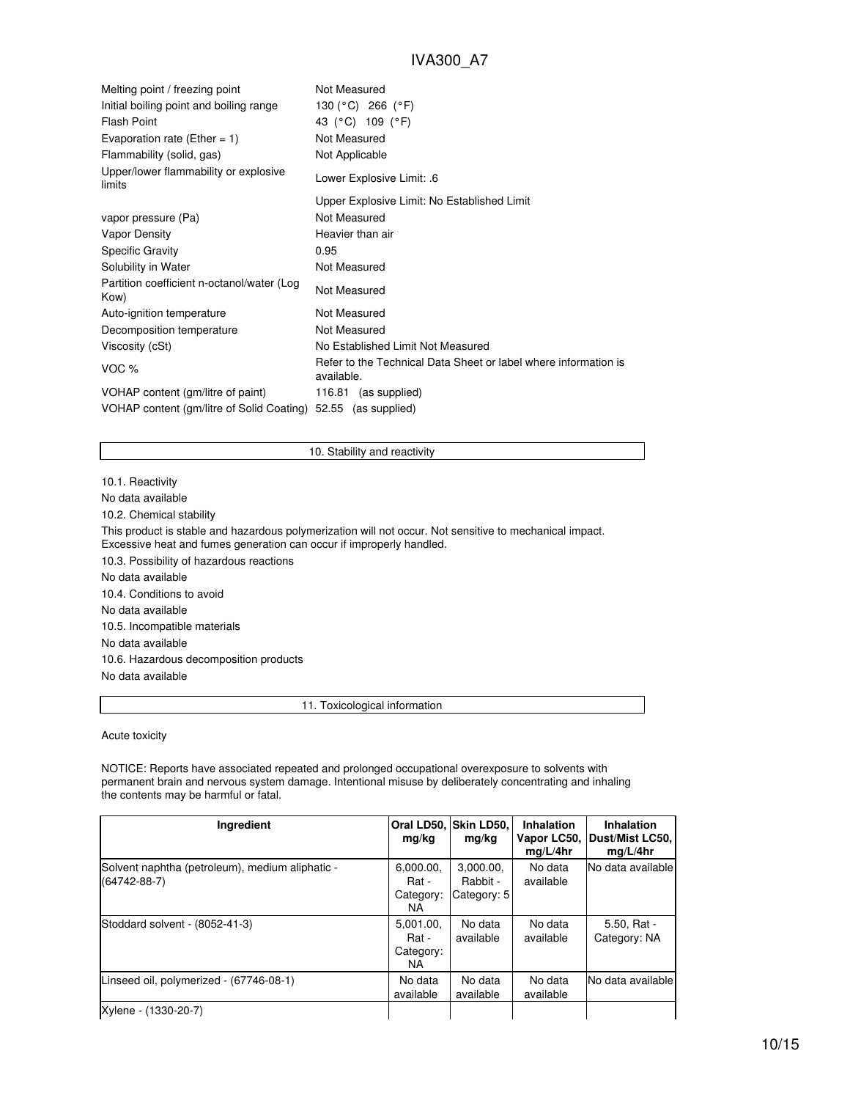| Melting point / freezing point                     | Not Measured                                                                  |
|----------------------------------------------------|-------------------------------------------------------------------------------|
| Initial boiling point and boiling range            | 130 (°C) 266 (°F)                                                             |
| <b>Flash Point</b>                                 | 43 (°C) 109 (°F)                                                              |
| Evaporation rate (Ether = 1)                       | Not Measured                                                                  |
| Flammability (solid, gas)                          | Not Applicable                                                                |
| Upper/lower flammability or explosive<br>limits    | Lower Explosive Limit: .6                                                     |
|                                                    | Upper Explosive Limit: No Established Limit                                   |
| vapor pressure (Pa)                                | Not Measured                                                                  |
| Vapor Density                                      | Heavier than air                                                              |
| <b>Specific Gravity</b>                            | 0.95                                                                          |
| Solubility in Water                                | Not Measured                                                                  |
| Partition coefficient n-octanol/water (Log<br>Kow) | Not Measured                                                                  |
| Auto-ignition temperature                          | Not Measured                                                                  |
| Decomposition temperature                          | Not Measured                                                                  |
| Viscosity (cSt)                                    | No Established Limit Not Measured                                             |
| VOC %                                              | Refer to the Technical Data Sheet or label where information is<br>available. |
| VOHAP content (gm/litre of paint)                  | 116.81 (as supplied)                                                          |
| VOHAP content (gm/litre of Solid Coating)          | 52.55 (as supplied)                                                           |

#### 10. Stability and reactivity

10.1. Reactivity

No data available

10.2. Chemical stability

This product is stable and hazardous polymerization will not occur. Not sensitive to mechanical impact. Excessive heat and fumes generation can occur if improperly handled.

10.3. Possibility of hazardous reactions No data available 10.4. Conditions to avoid No data available

10.5. Incompatible materials

No data available

10.6. Hazardous decomposition products

No data available

11. Toxicological information

Acute toxicity

NOTICE: Reports have associated repeated and prolonged occupational overexposure to solvents with permanent brain and nervous system damage. Intentional misuse by deliberately concentrating and inhaling the contents may be harmful or fatal.

| Ingredient                                                            | Oral LD50.<br>mg/kg                    | Skin LD50.<br>mg/kg                  | <b>Inhalation</b><br>Vapor LC50,<br>mq/L/4hr | Inhalation<br>Dust/Mist LC50,<br>mq/L/4hr |
|-----------------------------------------------------------------------|----------------------------------------|--------------------------------------|----------------------------------------------|-------------------------------------------|
| Solvent naphtha (petroleum), medium aliphatic -<br>$(64742 - 88 - 7)$ | 6.000.00.<br>Rat -<br>Category:<br>NA. | 3.000.00.<br>Rabbit -<br>Category: 5 | No data<br>available                         | No data available                         |
| Stoddard solvent - (8052-41-3)                                        | 5.001.00.<br>Rat -<br>Category:<br>NA. | No data<br>available                 | No data<br>available                         | $5.50, Rat -$<br>Category: NA             |
| Linseed oil, polymerized - (67746-08-1)                               | No data<br>available                   | No data<br>available                 | No data<br>available                         | No data available                         |
| Xylene - (1330-20-7)                                                  |                                        |                                      |                                              |                                           |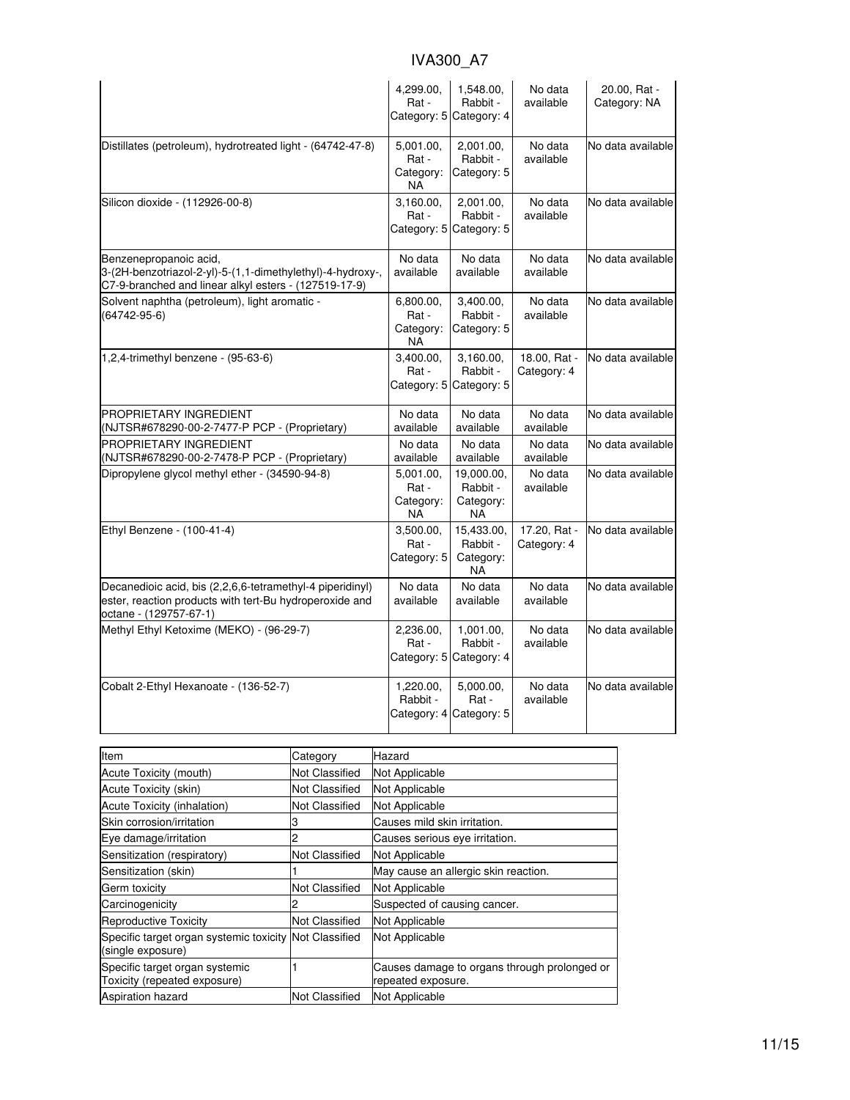|                                                                                                                                                | 4,299.00,<br>Rat -<br>Category: 5            | 1,548.00,<br>Rabbit -<br>Category: 4             | No data<br>available        | 20.00, Rat -<br>Category: NA |
|------------------------------------------------------------------------------------------------------------------------------------------------|----------------------------------------------|--------------------------------------------------|-----------------------------|------------------------------|
| Distillates (petroleum), hydrotreated light - (64742-47-8)                                                                                     | 5,001.00,<br>Rat -<br>Category:<br><b>NA</b> | 2,001.00,<br>Rabbit -<br>Category: 5             | No data<br>available        | No data available            |
| Silicon dioxide - (112926-00-8)                                                                                                                | 3,160.00<br>Rat -<br>Category: 5             | 2,001.00,<br>Rabbit -<br>Category: 5             | No data<br>available        | No data available            |
| Benzenepropanoic acid,<br>3-(2H-benzotriazol-2-yl)-5-(1,1-dimethylethyl)-4-hydroxy-,<br>C7-9-branched and linear alkyl esters - (127519-17-9)  | No data<br>available                         | No data<br>available                             | No data<br>available        | No data available            |
| Solvent naphtha (petroleum), light aromatic -<br>$(64742-95-6)$                                                                                | 6,800.00,<br>Rat -<br>Category:<br>NA        | 3,400.00,<br>Rabbit -<br>Category: 5             | No data<br>available        | No data available            |
| 1,2,4-trimethyl benzene - (95-63-6)                                                                                                            | 3,400.00,<br>Rat -<br>Category: 5            | 3,160.00,<br>Rabbit -<br>Category: 5             | 18.00, Rat -<br>Category: 4 | No data available            |
| <b>PROPRIETARY INGREDIENT</b><br>(NJTSR#678290-00-2-7477-P PCP - (Proprietary)                                                                 | No data<br>available                         | No data<br>available                             | No data<br>available        | No data available            |
| PROPRIETARY INGREDIENT<br>(NJTSR#678290-00-2-7478-P PCP - (Proprietary)                                                                        | No data<br>available                         | No data<br>available                             | No data<br>available        | No data available            |
| Dipropylene glycol methyl ether - (34590-94-8)                                                                                                 | 5,001.00,<br>Rat -<br>Category:<br><b>NA</b> | 19,000.00,<br>Rabbit -<br>Category:<br><b>NA</b> | No data<br>available        | No data available            |
| Ethyl Benzene - (100-41-4)                                                                                                                     | 3,500.00,<br>Rat -<br>Category: 5            | 15,433.00,<br>Rabbit -<br>Category:<br><b>NA</b> | 17.20, Rat -<br>Category: 4 | No data available            |
| Decanedioic acid, bis (2,2,6,6-tetramethyl-4 piperidinyl)<br>ester, reaction products with tert-Bu hydroperoxide and<br>octane - (129757-67-1) | No data<br>available                         | No data<br>available                             | No data<br>available        | No data available            |
| Methyl Ethyl Ketoxime (MEKO) - (96-29-7)                                                                                                       | 2,236.00,<br>Rat -<br>Category: 5            | 1.001.00.<br>Rabbit -<br>Category: 4             | No data<br>available        | No data available            |
| Cobalt 2-Ethyl Hexanoate - (136-52-7)                                                                                                          | 1,220.00,<br>Rabbit -                        | 5,000.00,<br>Rat -<br>Category: 4 Category: 5    | No data<br>available        | No data available            |

| Item                                                                        | Category              | Hazard                                                             |
|-----------------------------------------------------------------------------|-----------------------|--------------------------------------------------------------------|
| Acute Toxicity (mouth)                                                      | <b>Not Classified</b> | Not Applicable                                                     |
| Acute Toxicity (skin)                                                       | <b>Not Classified</b> | Not Applicable                                                     |
| Acute Toxicity (inhalation)                                                 | Not Classified        | Not Applicable                                                     |
| Skin corrosion/irritation                                                   |                       | Causes mild skin irritation.                                       |
| Eye damage/irritation                                                       |                       | Causes serious eye irritation.                                     |
| Sensitization (respiratory)                                                 | Not Classified        | Not Applicable                                                     |
| Sensitization (skin)                                                        |                       | May cause an allergic skin reaction.                               |
| Germ toxicity                                                               | <b>Not Classified</b> | Not Applicable                                                     |
| Carcinogenicity                                                             |                       | Suspected of causing cancer.                                       |
| <b>Reproductive Toxicity</b>                                                | Not Classified        | Not Applicable                                                     |
| Specific target organ systemic toxicity Not Classified<br>(single exposure) |                       | Not Applicable                                                     |
| Specific target organ systemic<br>Toxicity (repeated exposure)              |                       | Causes damage to organs through prolonged or<br>repeated exposure. |
| <b>Aspiration hazard</b>                                                    | <b>Not Classified</b> | Not Applicable                                                     |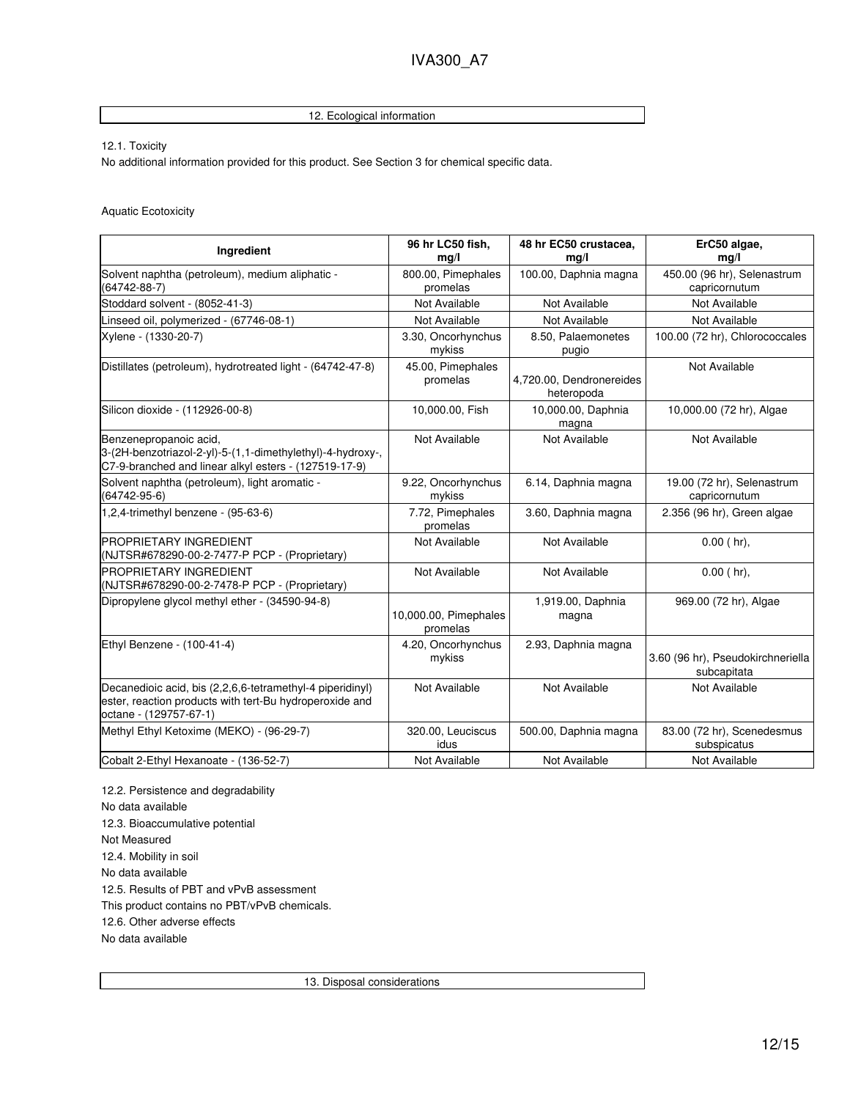## 12. Ecological information

12.1. Toxicity

No additional information provided for this product. See Section 3 for chemical specific data.

Aquatic Ecotoxicity

| Ingredient                                                                                                                                     | 96 hr LC50 fish,<br>mq/l          | 48 hr EC50 crustacea.<br>mq/l          | ErC50 algae,<br>mq/l                             |
|------------------------------------------------------------------------------------------------------------------------------------------------|-----------------------------------|----------------------------------------|--------------------------------------------------|
| Solvent naphtha (petroleum), medium aliphatic -<br>$(64742 - 88 - 7)$                                                                          | 800.00, Pimephales<br>promelas    | 100.00, Daphnia magna                  | 450.00 (96 hr), Selenastrum<br>capricornutum     |
| Stoddard solvent - (8052-41-3)                                                                                                                 | Not Available                     | Not Available                          | Not Available                                    |
| Linseed oil, polymerized - (67746-08-1)                                                                                                        | Not Available                     | Not Available                          | Not Available                                    |
| Xylene - (1330-20-7)                                                                                                                           | 3.30, Oncorhynchus<br>mykiss      | 8.50, Palaemonetes<br>pugio            | 100.00 (72 hr), Chlorococcales                   |
| Distillates (petroleum), hydrotreated light - (64742-47-8)                                                                                     | 45.00, Pimephales<br>promelas     | 4,720.00, Dendronereides<br>heteropoda | Not Available                                    |
| Silicon dioxide - (112926-00-8)                                                                                                                | 10,000.00, Fish                   | 10,000.00, Daphnia<br>magna            | 10,000.00 (72 hr), Algae                         |
| Benzenepropanoic acid,<br>3-(2H-benzotriazol-2-yl)-5-(1,1-dimethylethyl)-4-hydroxy-,<br>C7-9-branched and linear alkyl esters - (127519-17-9)  | Not Available                     | Not Available                          | Not Available                                    |
| Solvent naphtha (petroleum), light aromatic -<br>(64742-95-6)                                                                                  | 9.22, Oncorhynchus<br>mykiss      | 6.14, Daphnia magna                    | 19.00 (72 hr), Selenastrum<br>capricornutum      |
| 1,2,4-trimethyl benzene - (95-63-6)                                                                                                            | 7.72, Pimephales<br>promelas      | 3.60, Daphnia magna                    | 2.356 (96 hr), Green algae                       |
| <b>PROPRIETARY INGREDIENT</b><br>(NJTSR#678290-00-2-7477-P PCP - (Proprietary)                                                                 | Not Available                     | Not Available                          | $0.00$ (hr),                                     |
| PROPRIETARY INGREDIENT<br>(NJTSR#678290-00-2-7478-P PCP - (Proprietary)                                                                        | Not Available                     | Not Available                          | $0.00$ (hr).                                     |
| Dipropylene glycol methyl ether - (34590-94-8)                                                                                                 | 10,000.00, Pimephales<br>promelas | 1,919.00, Daphnia<br>magna             | 969.00 (72 hr), Algae                            |
| Ethyl Benzene - (100-41-4)                                                                                                                     | 4.20, Oncorhynchus<br>mykiss      | 2.93, Daphnia magna                    | 3.60 (96 hr), Pseudokirchneriella<br>subcapitata |
| Decanedioic acid, bis (2,2,6,6-tetramethyl-4 piperidinyl)<br>ester, reaction products with tert-Bu hydroperoxide and<br>octane - (129757-67-1) | Not Available                     | Not Available                          | Not Available                                    |
| Methyl Ethyl Ketoxime (MEKO) - (96-29-7)                                                                                                       | 320.00, Leuciscus<br>idus         | 500.00, Daphnia magna                  | 83.00 (72 hr), Scenedesmus<br>subspicatus        |
| Cobalt 2-Ethyl Hexanoate - (136-52-7)                                                                                                          | Not Available                     | Not Available                          | Not Available                                    |

12.2. Persistence and degradability No data available 12.3. Bioaccumulative potential Not Measured 12.4. Mobility in soil No data available 12.5. Results of PBT and vPvB assessment This product contains no PBT/vPvB chemicals. 12.6. Other adverse effects No data available

13. Disposal considerations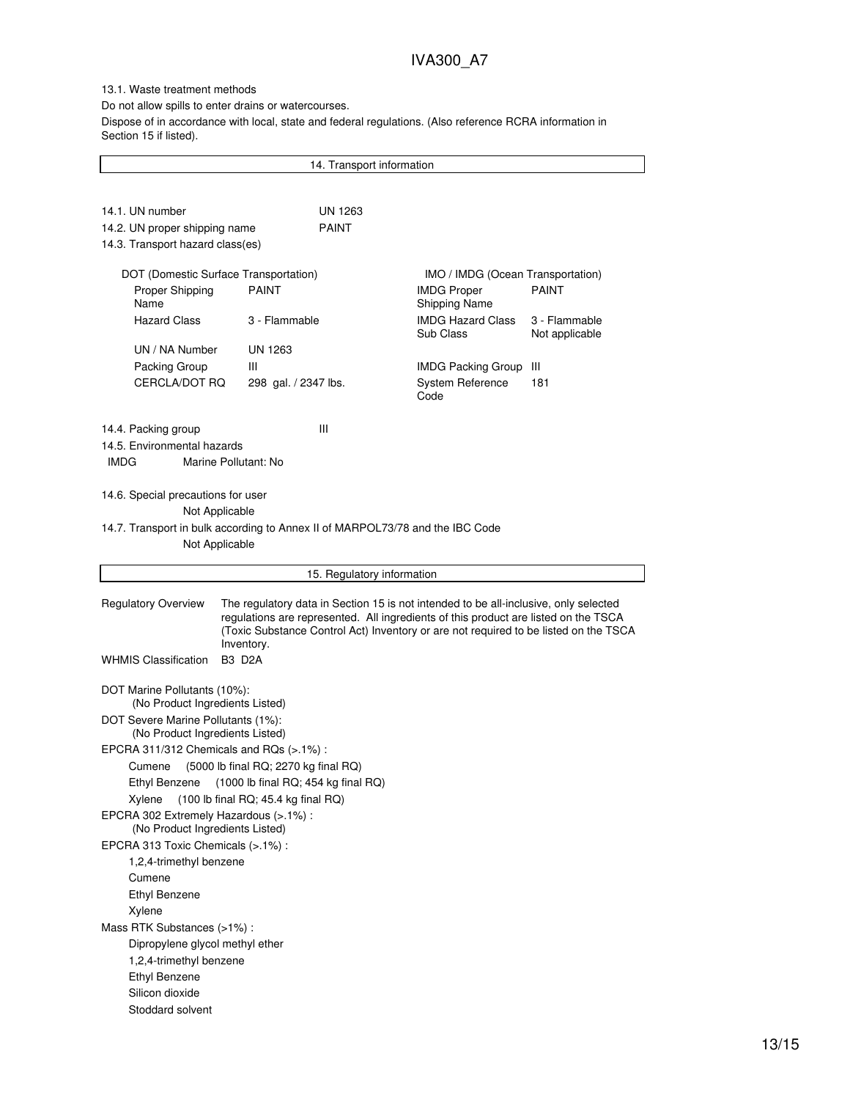## 13.1. Waste treatment methods

Do not allow spills to enter drains or watercourses.

Dispose of in accordance with local, state and federal regulations. (Also reference RCRA information in Section 15 if listed).

|                                                                           | 14. Transport information                                                                                                                                                                                                                                                         |                                       |                                 |
|---------------------------------------------------------------------------|-----------------------------------------------------------------------------------------------------------------------------------------------------------------------------------------------------------------------------------------------------------------------------------|---------------------------------------|---------------------------------|
|                                                                           |                                                                                                                                                                                                                                                                                   |                                       |                                 |
| 14.1. UN number                                                           | UN 1263                                                                                                                                                                                                                                                                           |                                       |                                 |
| 14.2. UN proper shipping name                                             | <b>PAINT</b>                                                                                                                                                                                                                                                                      |                                       |                                 |
| 14.3. Transport hazard class(es)                                          |                                                                                                                                                                                                                                                                                   |                                       |                                 |
|                                                                           |                                                                                                                                                                                                                                                                                   |                                       |                                 |
| DOT (Domestic Surface Transportation)                                     |                                                                                                                                                                                                                                                                                   | IMO / IMDG (Ocean Transportation)     |                                 |
| Proper Shipping                                                           | <b>PAINT</b>                                                                                                                                                                                                                                                                      | <b>IMDG Proper</b>                    | <b>PAINT</b>                    |
| Name                                                                      |                                                                                                                                                                                                                                                                                   | <b>Shipping Name</b>                  |                                 |
| <b>Hazard Class</b>                                                       | 3 - Flammable                                                                                                                                                                                                                                                                     | <b>IMDG Hazard Class</b><br>Sub Class | 3 - Flammable<br>Not applicable |
| UN / NA Number                                                            | UN 1263                                                                                                                                                                                                                                                                           |                                       |                                 |
| Packing Group                                                             | Ш                                                                                                                                                                                                                                                                                 | IMDG Packing Group III                |                                 |
| CERCLA/DOT RQ                                                             | 298 gal. / 2347 lbs.                                                                                                                                                                                                                                                              | System Reference<br>Code              | 181                             |
| 14.4. Packing group                                                       | Ш                                                                                                                                                                                                                                                                                 |                                       |                                 |
| 14.5. Environmental hazards                                               |                                                                                                                                                                                                                                                                                   |                                       |                                 |
| <b>IMDG</b>                                                               | Marine Pollutant: No                                                                                                                                                                                                                                                              |                                       |                                 |
|                                                                           |                                                                                                                                                                                                                                                                                   |                                       |                                 |
| 14.6. Special precautions for user                                        |                                                                                                                                                                                                                                                                                   |                                       |                                 |
| Not Applicable                                                            |                                                                                                                                                                                                                                                                                   |                                       |                                 |
|                                                                           | 14.7. Transport in bulk according to Annex II of MARPOL73/78 and the IBC Code                                                                                                                                                                                                     |                                       |                                 |
| Not Applicable                                                            |                                                                                                                                                                                                                                                                                   |                                       |                                 |
|                                                                           | 15. Regulatory information                                                                                                                                                                                                                                                        |                                       |                                 |
|                                                                           |                                                                                                                                                                                                                                                                                   |                                       |                                 |
| <b>Regulatory Overview</b>                                                | The regulatory data in Section 15 is not intended to be all-inclusive, only selected<br>regulations are represented. All ingredients of this product are listed on the TSCA<br>(Toxic Substance Control Act) Inventory or are not required to be listed on the TSCA<br>Inventory. |                                       |                                 |
| <b>WHMIS Classification</b>                                               | <b>B3 D2A</b>                                                                                                                                                                                                                                                                     |                                       |                                 |
|                                                                           |                                                                                                                                                                                                                                                                                   |                                       |                                 |
| DOT Marine Pollutants (10%):<br>(No Product Ingredients Listed)           |                                                                                                                                                                                                                                                                                   |                                       |                                 |
| DOT Severe Marine Pollutants (1%):                                        |                                                                                                                                                                                                                                                                                   |                                       |                                 |
| (No Product Ingredients Listed)                                           |                                                                                                                                                                                                                                                                                   |                                       |                                 |
| EPCRA 311/312 Chemicals and RQs (>.1%):                                   |                                                                                                                                                                                                                                                                                   |                                       |                                 |
| Cumene                                                                    | (5000 lb final RQ; 2270 kg final RQ)                                                                                                                                                                                                                                              |                                       |                                 |
|                                                                           | Ethyl Benzene (1000 lb final RQ; 454 kg final RQ)                                                                                                                                                                                                                                 |                                       |                                 |
| Xylene                                                                    | $(100$ lb final RQ; 45.4 kg final RQ)                                                                                                                                                                                                                                             |                                       |                                 |
| EPCRA 302 Extremely Hazardous (>.1%) :<br>(No Product Ingredients Listed) |                                                                                                                                                                                                                                                                                   |                                       |                                 |
| EPCRA 313 Toxic Chemicals (>.1%) :                                        |                                                                                                                                                                                                                                                                                   |                                       |                                 |
| 1,2,4-trimethyl benzene                                                   |                                                                                                                                                                                                                                                                                   |                                       |                                 |
| Cumene                                                                    |                                                                                                                                                                                                                                                                                   |                                       |                                 |
| <b>Ethyl Benzene</b>                                                      |                                                                                                                                                                                                                                                                                   |                                       |                                 |
| Xylene                                                                    |                                                                                                                                                                                                                                                                                   |                                       |                                 |
| Mass RTK Substances (>1%):                                                |                                                                                                                                                                                                                                                                                   |                                       |                                 |
| Dipropylene glycol methyl ether                                           |                                                                                                                                                                                                                                                                                   |                                       |                                 |
| 1,2,4-trimethyl benzene                                                   |                                                                                                                                                                                                                                                                                   |                                       |                                 |
| <b>Ethyl Benzene</b>                                                      |                                                                                                                                                                                                                                                                                   |                                       |                                 |
| Silicon dioxide                                                           |                                                                                                                                                                                                                                                                                   |                                       |                                 |
| Stoddard solvent                                                          |                                                                                                                                                                                                                                                                                   |                                       |                                 |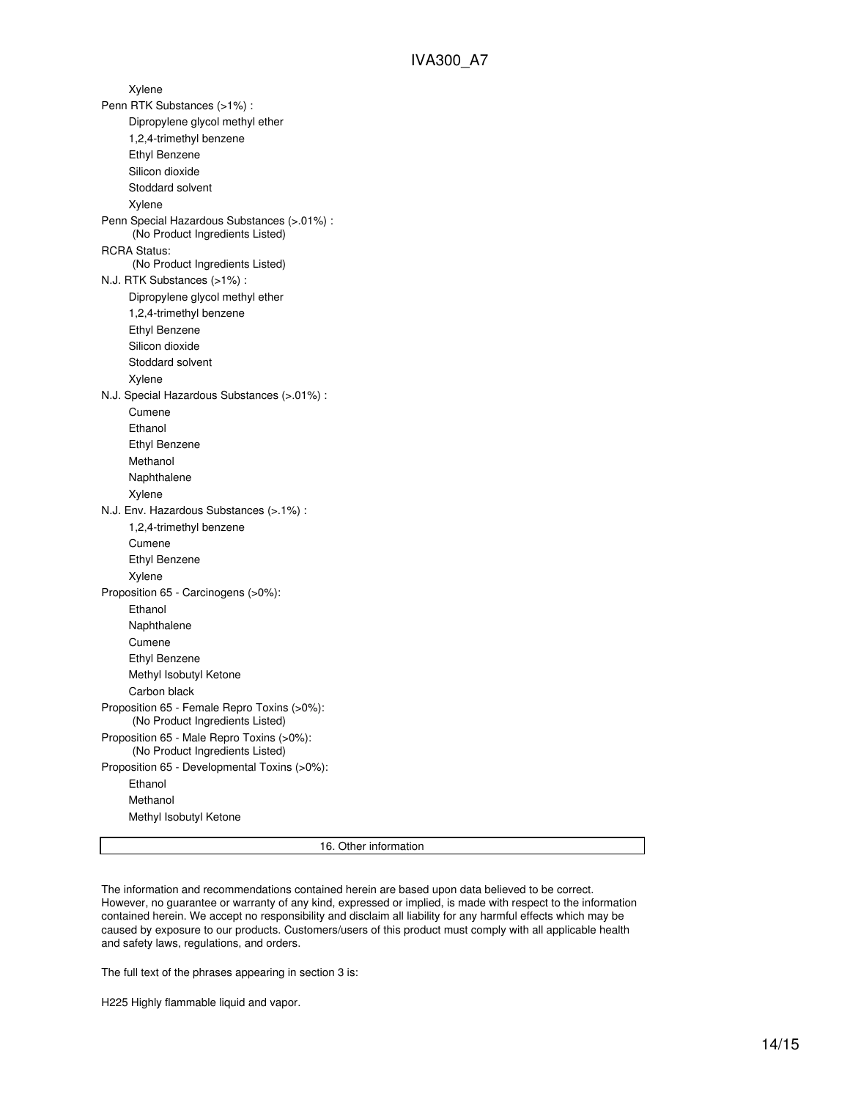Xylene Penn RTK Substances (>1%) : Dipropylene glycol methyl ether 1,2,4-trimethyl benzene Ethyl Benzene Silicon dioxide Stoddard solvent Xylene Penn Special Hazardous Substances (>.01%) : (No Product Ingredients Listed) RCRA Status: (No Product Ingredients Listed) N.J. RTK Substances (>1%) : Dipropylene glycol methyl ether 1,2,4-trimethyl benzene Ethyl Benzene Silicon dioxide Stoddard solvent Xylene N.J. Special Hazardous Substances (>.01%) : Cumene Ethanol Ethyl Benzene Methanol Naphthalene Xylene N.J. Env. Hazardous Substances (>.1%) : 1,2,4-trimethyl benzene Cumene Ethyl Benzene Xylene Proposition 65 - Carcinogens (>0%): Ethanol Naphthalene Cumene Ethyl Benzene Methyl Isobutyl Ketone Carbon black Proposition 65 - Female Repro Toxins (>0%): (No Product Ingredients Listed) Proposition 65 - Male Repro Toxins (>0%): (No Product Ingredients Listed) Proposition 65 - Developmental Toxins (>0%): Ethanol Methanol Methyl Isobutyl Ketone

16. Other information

The information and recommendations contained herein are based upon data believed to be correct. However, no guarantee or warranty of any kind, expressed or implied, is made with respect to the information contained herein. We accept no responsibility and disclaim all liability for any harmful effects which may be caused by exposure to our products. Customers/users of this product must comply with all applicable health and safety laws, regulations, and orders.

The full text of the phrases appearing in section 3 is:

H225 Highly flammable liquid and vapor.